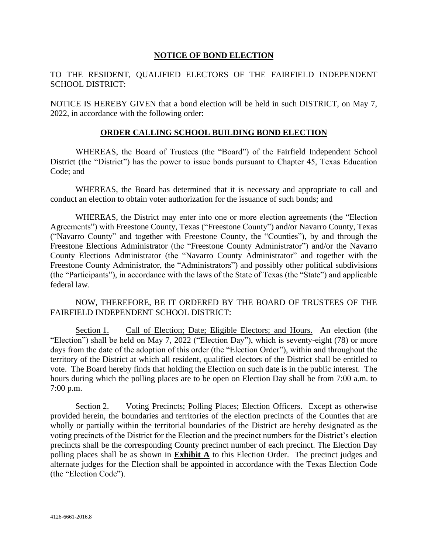#### **NOTICE OF BOND ELECTION**

#### TO THE RESIDENT, QUALIFIED ELECTORS OF THE FAIRFIELD INDEPENDENT SCHOOL DISTRICT:

NOTICE IS HEREBY GIVEN that a bond election will be held in such DISTRICT, on May 7, 2022, in accordance with the following order:

#### **ORDER CALLING SCHOOL BUILDING BOND ELECTION**

WHEREAS, the Board of Trustees (the "Board") of the Fairfield Independent School District (the "District") has the power to issue bonds pursuant to Chapter 45, Texas Education Code; and

WHEREAS, the Board has determined that it is necessary and appropriate to call and conduct an election to obtain voter authorization for the issuance of such bonds; and

WHEREAS, the District may enter into one or more election agreements (the "Election Agreements") with Freestone County, Texas ("Freestone County") and/or Navarro County, Texas ("Navarro County" and together with Freestone County, the "Counties"), by and through the Freestone Elections Administrator (the "Freestone County Administrator") and/or the Navarro County Elections Administrator (the "Navarro County Administrator" and together with the Freestone County Administrator, the "Administrators") and possibly other political subdivisions (the "Participants"), in accordance with the laws of the State of Texas (the "State") and applicable federal law.

NOW, THEREFORE, BE IT ORDERED BY THE BOARD OF TRUSTEES OF THE FAIRFIELD INDEPENDENT SCHOOL DISTRICT:

Section 1. Call of Election; Date; Eligible Electors; and Hours. An election (the "Election") shall be held on May 7, 2022 ("Election Day"), which is seventy-eight (78) or more days from the date of the adoption of this order (the "Election Order"), within and throughout the territory of the District at which all resident, qualified electors of the District shall be entitled to vote. The Board hereby finds that holding the Election on such date is in the public interest. The hours during which the polling places are to be open on Election Day shall be from 7:00 a.m. to 7:00 p.m.

Section 2. Voting Precincts; Polling Places; Election Officers. Except as otherwise provided herein, the boundaries and territories of the election precincts of the Counties that are wholly or partially within the territorial boundaries of the District are hereby designated as the voting precincts of the District for the Election and the precinct numbers for the District's election precincts shall be the corresponding County precinct number of each precinct. The Election Day polling places shall be as shown in **Exhibit A** to this Election Order. The precinct judges and alternate judges for the Election shall be appointed in accordance with the Texas Election Code (the "Election Code").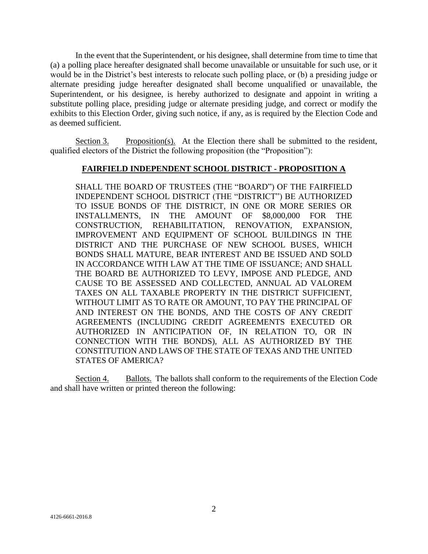In the event that the Superintendent, or his designee, shall determine from time to time that (a) a polling place hereafter designated shall become unavailable or unsuitable for such use, or it would be in the District's best interests to relocate such polling place, or (b) a presiding judge or alternate presiding judge hereafter designated shall become unqualified or unavailable, the Superintendent, or his designee, is hereby authorized to designate and appoint in writing a substitute polling place, presiding judge or alternate presiding judge, and correct or modify the exhibits to this Election Order, giving such notice, if any, as is required by the Election Code and as deemed sufficient.

Section 3. Proposition(s). At the Election there shall be submitted to the resident, qualified electors of the District the following proposition (the "Proposition"):

#### **FAIRFIELD INDEPENDENT SCHOOL DISTRICT - PROPOSITION A**

SHALL THE BOARD OF TRUSTEES (THE "BOARD") OF THE FAIRFIELD INDEPENDENT SCHOOL DISTRICT (THE "DISTRICT") BE AUTHORIZED TO ISSUE BONDS OF THE DISTRICT, IN ONE OR MORE SERIES OR INSTALLMENTS, IN THE AMOUNT OF \$8,000,000 FOR THE CONSTRUCTION, REHABILITATION, RENOVATION, EXPANSION, IMPROVEMENT AND EQUIPMENT OF SCHOOL BUILDINGS IN THE DISTRICT AND THE PURCHASE OF NEW SCHOOL BUSES, WHICH BONDS SHALL MATURE, BEAR INTEREST AND BE ISSUED AND SOLD IN ACCORDANCE WITH LAW AT THE TIME OF ISSUANCE; AND SHALL THE BOARD BE AUTHORIZED TO LEVY, IMPOSE AND PLEDGE, AND CAUSE TO BE ASSESSED AND COLLECTED, ANNUAL AD VALOREM TAXES ON ALL TAXABLE PROPERTY IN THE DISTRICT SUFFICIENT, WITHOUT LIMIT AS TO RATE OR AMOUNT, TO PAY THE PRINCIPAL OF AND INTEREST ON THE BONDS, AND THE COSTS OF ANY CREDIT AGREEMENTS (INCLUDING CREDIT AGREEMENTS EXECUTED OR AUTHORIZED IN ANTICIPATION OF, IN RELATION TO, OR IN CONNECTION WITH THE BONDS), ALL AS AUTHORIZED BY THE CONSTITUTION AND LAWS OF THE STATE OF TEXAS AND THE UNITED STATES OF AMERICA?

Section 4. Ballots. The ballots shall conform to the requirements of the Election Code and shall have written or printed thereon the following: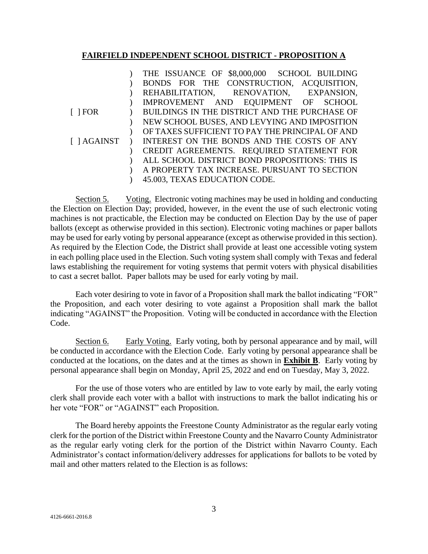#### **FAIRFIELD INDEPENDENT SCHOOL DISTRICT - PROPOSITION A**

|                    | THE ISSUANCE OF \$8,000,000 SCHOOL BUILDING     |
|--------------------|-------------------------------------------------|
|                    | BONDS FOR THE CONSTRUCTION, ACQUISITION,        |
|                    | REHABILITATION, RENOVATION, EXPANSION,          |
|                    | IMPROVEMENT AND EQUIPMENT OF SCHOOL             |
| $\lceil$   FOR     | BUILDINGS IN THE DISTRICT AND THE PURCHASE OF   |
|                    | NEW SCHOOL BUSES, AND LEVYING AND IMPOSITION    |
|                    | OF TAXES SUFFICIENT TO PAY THE PRINCIPAL OF AND |
| $\lceil$   AGAINST | INTEREST ON THE BONDS AND THE COSTS OF ANY      |
|                    | CREDIT AGREEMENTS. REQUIRED STATEMENT FOR       |
|                    | ALL SCHOOL DISTRICT BOND PROPOSITIONS: THIS IS  |
|                    | A PROPERTY TAX INCREASE. PURSUANT TO SECTION    |
|                    | 45.003, TEXAS EDUCATION CODE.                   |

Section 5. Voting. Electronic voting machines may be used in holding and conducting the Election on Election Day; provided, however, in the event the use of such electronic voting machines is not practicable, the Election may be conducted on Election Day by the use of paper ballots (except as otherwise provided in this section). Electronic voting machines or paper ballots may be used for early voting by personal appearance (except as otherwise provided in this section). As required by the Election Code, the District shall provide at least one accessible voting system in each polling place used in the Election. Such voting system shall comply with Texas and federal laws establishing the requirement for voting systems that permit voters with physical disabilities to cast a secret ballot. Paper ballots may be used for early voting by mail.

Each voter desiring to vote in favor of a Proposition shall mark the ballot indicating "FOR" the Proposition, and each voter desiring to vote against a Proposition shall mark the ballot indicating "AGAINST" the Proposition. Voting will be conducted in accordance with the Election Code.

Section 6. Early Voting. Early voting, both by personal appearance and by mail, will be conducted in accordance with the Election Code. Early voting by personal appearance shall be conducted at the locations, on the dates and at the times as shown in **Exhibit B**. Early voting by personal appearance shall begin on Monday, April 25, 2022 and end on Tuesday, May 3, 2022.

For the use of those voters who are entitled by law to vote early by mail, the early voting clerk shall provide each voter with a ballot with instructions to mark the ballot indicating his or her vote "FOR" or "AGAINST" each Proposition.

The Board hereby appoints the Freestone County Administrator as the regular early voting clerk for the portion of the District within Freestone County and the Navarro County Administrator as the regular early voting clerk for the portion of the District within Navarro County. Each Administrator's contact information/delivery addresses for applications for ballots to be voted by mail and other matters related to the Election is as follows: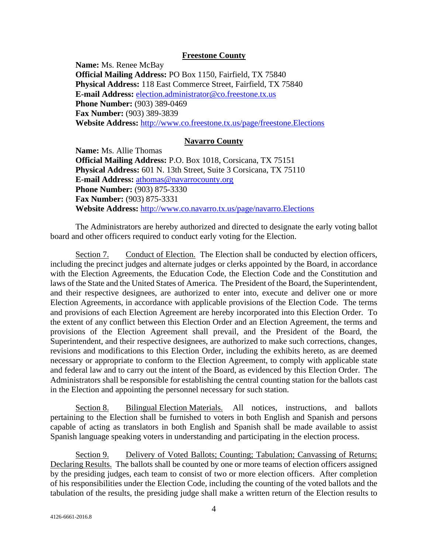#### **Freestone County**

**Name:** Ms. Renee McBay **Official Mailing Address:** PO Box 1150, Fairfield, TX 75840 **Physical Address:** 118 East Commerce Street, Fairfield, TX 75840 **E-mail Address:** [election.administrator@co.freestone.tx.us](mailto:election.administrator@co.freestone.tx.us)  **Phone Number:** (903) 389-0469 **Fax Number:** (903) 389-3839 **Website Address:** <http://www.co.freestone.tx.us/page/freestone.Elections>

#### **Navarro County**

**Name:** Ms. Allie Thomas **Official Mailing Address:** P.O. Box 1018, Corsicana, TX 75151 **Physical Address:** 601 N. 13th Street, Suite 3 Corsicana, TX 75110 **E-mail Address:** [athomas@navarrocounty.org](mailto:athomas@navarrocounty.org) **Phone Number: (903) 875-3330 Fax Number:** (903) 875-3331 **Website Address:** <http://www.co.navarro.tx.us/page/navarro.Elections>

The Administrators are hereby authorized and directed to designate the early voting ballot board and other officers required to conduct early voting for the Election.

Section 7. Conduct of Election. The Election shall be conducted by election officers, including the precinct judges and alternate judges or clerks appointed by the Board, in accordance with the Election Agreements, the Education Code, the Election Code and the Constitution and laws of the State and the United States of America. The President of the Board, the Superintendent, and their respective designees, are authorized to enter into, execute and deliver one or more Election Agreements, in accordance with applicable provisions of the Election Code. The terms and provisions of each Election Agreement are hereby incorporated into this Election Order. To the extent of any conflict between this Election Order and an Election Agreement, the terms and provisions of the Election Agreement shall prevail, and the President of the Board, the Superintendent, and their respective designees, are authorized to make such corrections, changes, revisions and modifications to this Election Order, including the exhibits hereto, as are deemed necessary or appropriate to conform to the Election Agreement, to comply with applicable state and federal law and to carry out the intent of the Board, as evidenced by this Election Order. The Administrators shall be responsible for establishing the central counting station for the ballots cast in the Election and appointing the personnel necessary for such station.

Section 8. Bilingual Election Materials. All notices, instructions, and ballots pertaining to the Election shall be furnished to voters in both English and Spanish and persons capable of acting as translators in both English and Spanish shall be made available to assist Spanish language speaking voters in understanding and participating in the election process.

Section 9. Delivery of Voted Ballots; Counting; Tabulation; Canvassing of Returns; Declaring Results. The ballots shall be counted by one or more teams of election officers assigned by the presiding judges, each team to consist of two or more election officers. After completion of his responsibilities under the Election Code, including the counting of the voted ballots and the tabulation of the results, the presiding judge shall make a written return of the Election results to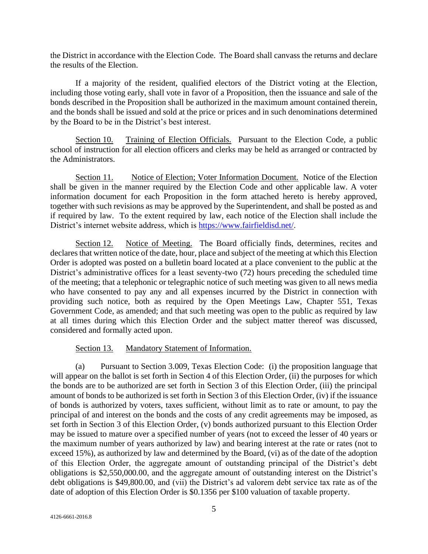the District in accordance with the Election Code. The Board shall canvass the returns and declare the results of the Election.

If a majority of the resident, qualified electors of the District voting at the Election, including those voting early, shall vote in favor of a Proposition, then the issuance and sale of the bonds described in the Proposition shall be authorized in the maximum amount contained therein, and the bonds shall be issued and sold at the price or prices and in such denominations determined by the Board to be in the District's best interest.

Section 10. Training of Election Officials. Pursuant to the Election Code, a public school of instruction for all election officers and clerks may be held as arranged or contracted by the Administrators.

Section 11. Notice of Election; Voter Information Document. Notice of the Election shall be given in the manner required by the Election Code and other applicable law. A voter information document for each Proposition in the form attached hereto is hereby approved, together with such revisions as may be approved by the Superintendent, and shall be posted as and if required by law. To the extent required by law, each notice of the Election shall include the District's internet website address, which is [https://www.fairfieldisd.net/.](https://www.fairfieldisd.net/)

Section 12. Notice of Meeting. The Board officially finds, determines, recites and declares that written notice of the date, hour, place and subject of the meeting at which this Election Order is adopted was posted on a bulletin board located at a place convenient to the public at the District's administrative offices for a least seventy-two (72) hours preceding the scheduled time of the meeting; that a telephonic or telegraphic notice of such meeting was given to all news media who have consented to pay any and all expenses incurred by the District in connection with providing such notice, both as required by the Open Meetings Law, Chapter 551, Texas Government Code, as amended; and that such meeting was open to the public as required by law at all times during which this Election Order and the subject matter thereof was discussed, considered and formally acted upon.

#### Section 13. Mandatory Statement of Information.

(a) Pursuant to Section 3.009, Texas Election Code: (i) the proposition language that will appear on the ballot is set forth in Section 4 of this Election Order, (ii) the purposes for which the bonds are to be authorized are set forth in Section 3 of this Election Order, (iii) the principal amount of bonds to be authorized is set forth in Section 3 of this Election Order, (iv) if the issuance of bonds is authorized by voters, taxes sufficient, without limit as to rate or amount, to pay the principal of and interest on the bonds and the costs of any credit agreements may be imposed, as set forth in Section 3 of this Election Order, (v) bonds authorized pursuant to this Election Order may be issued to mature over a specified number of years (not to exceed the lesser of 40 years or the maximum number of years authorized by law) and bearing interest at the rate or rates (not to exceed 15%), as authorized by law and determined by the Board, (vi) as of the date of the adoption of this Election Order, the aggregate amount of outstanding principal of the District's debt obligations is \$2,550,000.00, and the aggregate amount of outstanding interest on the District's debt obligations is \$49,800.00, and (vii) the District's ad valorem debt service tax rate as of the date of adoption of this Election Order is \$0.1356 per \$100 valuation of taxable property.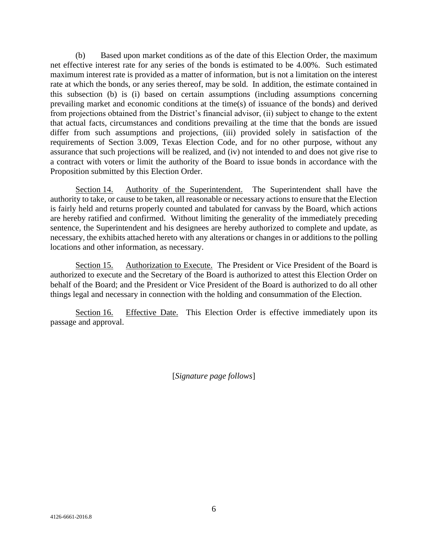(b) Based upon market conditions as of the date of this Election Order, the maximum net effective interest rate for any series of the bonds is estimated to be 4.00%. Such estimated maximum interest rate is provided as a matter of information, but is not a limitation on the interest rate at which the bonds, or any series thereof, may be sold. In addition, the estimate contained in this subsection (b) is (i) based on certain assumptions (including assumptions concerning prevailing market and economic conditions at the time(s) of issuance of the bonds) and derived from projections obtained from the District's financial advisor, (ii) subject to change to the extent that actual facts, circumstances and conditions prevailing at the time that the bonds are issued differ from such assumptions and projections, (iii) provided solely in satisfaction of the requirements of Section 3.009, Texas Election Code, and for no other purpose, without any assurance that such projections will be realized, and (iv) not intended to and does not give rise to a contract with voters or limit the authority of the Board to issue bonds in accordance with the Proposition submitted by this Election Order.

Section 14. Authority of the Superintendent. The Superintendent shall have the authority to take, or cause to be taken, all reasonable or necessary actions to ensure that the Election is fairly held and returns properly counted and tabulated for canvass by the Board, which actions are hereby ratified and confirmed. Without limiting the generality of the immediately preceding sentence, the Superintendent and his designees are hereby authorized to complete and update, as necessary, the exhibits attached hereto with any alterations or changes in or additions to the polling locations and other information, as necessary.

Section 15. Authorization to Execute. The President or Vice President of the Board is authorized to execute and the Secretary of the Board is authorized to attest this Election Order on behalf of the Board; and the President or Vice President of the Board is authorized to do all other things legal and necessary in connection with the holding and consummation of the Election.

Section 16. Effective Date. This Election Order is effective immediately upon its passage and approval.

[*Signature page follows*]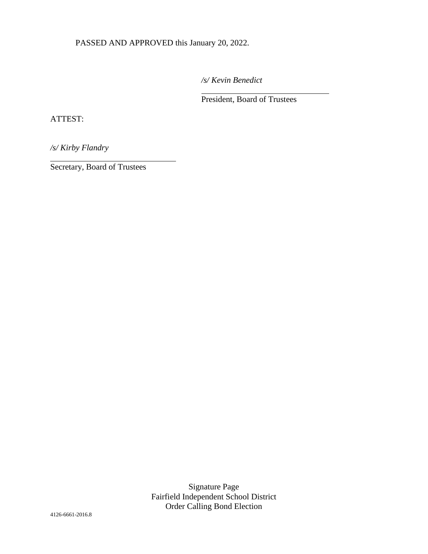PASSED AND APPROVED this January 20, 2022.

*/s/ Kevin Benedict* 

 $\overline{a}$ 

President, Board of Trustees

ATTEST:

l

*/s/ Kirby Flandry*

Secretary, Board of Trustees

Signature Page Fairfield Independent School District Order Calling Bond Election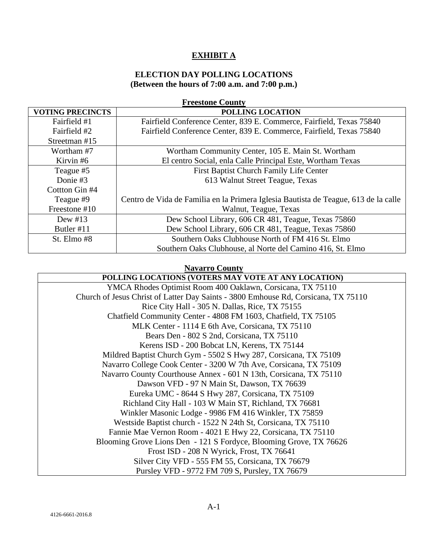### **EXHIBIT A**

#### **ELECTION DAY POLLING LOCATIONS (Between the hours of 7:00 a.m. and 7:00 p.m.)**

| <b>Freestone County</b> |                                                                                     |  |
|-------------------------|-------------------------------------------------------------------------------------|--|
| <b>VOTING PRECINCTS</b> | <b>POLLING LOCATION</b>                                                             |  |
| Fairfield #1            | Fairfield Conference Center, 839 E. Commerce, Fairfield, Texas 75840                |  |
| Fairfield #2            | Fairfield Conference Center, 839 E. Commerce, Fairfield, Texas 75840                |  |
| Streetman #15           |                                                                                     |  |
| Wortham #7              | Wortham Community Center, 105 E. Main St. Wortham                                   |  |
| Kirvin #6               | El centro Social, enla Calle Principal Este, Wortham Texas                          |  |
| Teague #5               | First Baptist Church Family Life Center                                             |  |
| Donie #3                | 613 Walnut Street Teague, Texas                                                     |  |
| Cottton Gin #4          |                                                                                     |  |
| Teague #9               | Centro de Vida de Familia en la Primera Iglesia Bautista de Teague, 613 de la calle |  |
| Freestone #10           | Walnut, Teague, Texas                                                               |  |
| Dew $#13$               | Dew School Library, 606 CR 481, Teague, Texas 75860                                 |  |
| Butler #11              | Dew School Library, 606 CR 481, Teague, Texas 75860                                 |  |
| St. Elmo #8             | Southern Oaks Clubhouse North of FM 416 St. Elmo                                    |  |
|                         | Southern Oaks Clubhouse, al Norte del Camino 416, St. Elmo                          |  |

#### **Navarro County**

**POLLING LOCATIONS (VOTERS MAY VOTE AT ANY LOCATION)** YMCA Rhodes Optimist Room 400 Oaklawn, Corsicana, TX 75110 Church of Jesus Christ of Latter Day Saints - 3800 Emhouse Rd, Corsicana, TX 75110 Rice City Hall - 305 N. Dallas, Rice, TX 75155 Chatfield Community Center - 4808 FM 1603, Chatfield, TX 75105 MLK Center - 1114 E 6th Ave, Corsicana, TX 75110 Bears Den - 802 S 2nd, Corsicana, TX 75110 Kerens ISD - 200 Bobcat LN, Kerens, TX 75144 Mildred Baptist Church Gym - 5502 S Hwy 287, Corsicana, TX 75109 Navarro College Cook Center - 3200 W 7th Ave, Corsicana, TX 75109 Navarro County Courthouse Annex - 601 N 13th, Corsicana, TX 75110 Dawson VFD - 97 N Main St, Dawson, TX 76639 Eureka UMC - 8644 S Hwy 287, Corsicana, TX 75109 Richland City Hall - 103 W Main ST, Richland, TX 76681 Winkler Masonic Lodge - 9986 FM 416 Winkler, TX 75859 Westside Baptist church - 1522 N 24th St, Corsicana, TX 75110 Fannie Mae Vernon Room - 4021 E Hwy 22, Corsicana, TX 75110 Blooming Grove Lions Den - 121 S Fordyce, Blooming Grove, TX 76626 Frost ISD - 208 N Wyrick, Frost, TX 76641 Silver City VFD - 555 FM 55, Corsicana, TX 76679 Pursley VFD - 9772 FM 709 S, Pursley, TX 76679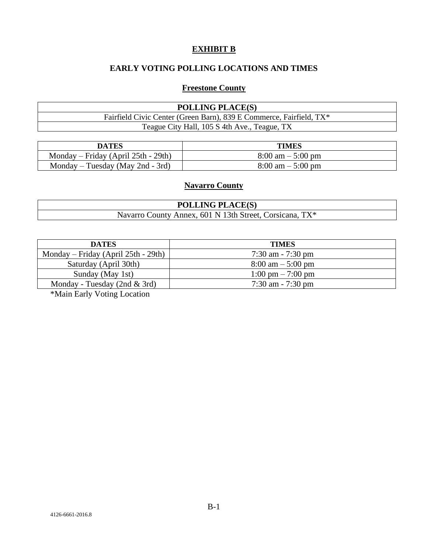### **EXHIBIT B**

## **EARLY VOTING POLLING LOCATIONS AND TIMES**

#### **Freestone County**

| <b>POLLING PLACE(S)</b>                                             |
|---------------------------------------------------------------------|
| Fairfield Civic Center (Green Barn), 839 E Commerce, Fairfield, TX* |
| Teague City Hall, 105 S 4th Ave., Teague, TX                        |

| DATES                               | <b>TIMES</b>                        |
|-------------------------------------|-------------------------------------|
| Monday – Friday (April 25th - 29th) | $8:00 \text{ am} - 5:00 \text{ pm}$ |
| Monday – Tuesday (May 2nd - 3rd)    | $8:00 \text{ am} - 5:00 \text{ pm}$ |

### **Navarro County**

| <b>POLLING PLACE(S)</b>                                      |
|--------------------------------------------------------------|
| County Annex, 601 N 13th Street, Corsicana, TX*<br>Navarro C |

| <b>TIMES</b>                        |
|-------------------------------------|
| $7:30$ am $-7:30$ pm                |
| $8:00 \text{ am} - 5:00 \text{ pm}$ |
| $1:00 \text{ pm} - 7:00 \text{ pm}$ |
| $7:30$ am $-7:30$ pm                |
|                                     |

\*Main Early Voting Location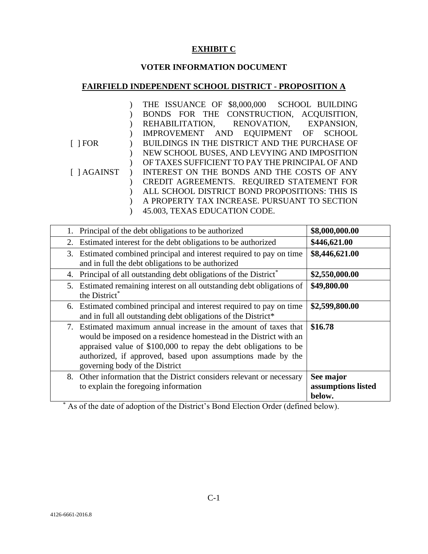## **EXHIBIT C**

# **VOTER INFORMATION DOCUMENT**

## **FAIRFIELD INDEPENDENT SCHOOL DISTRICT - PROPOSITION A**

|                    | THE ISSUANCE OF \$8,000,000 SCHOOL BUILDING     |
|--------------------|-------------------------------------------------|
|                    | BONDS FOR THE CONSTRUCTION, ACQUISITION,        |
|                    | REHABILITATION, RENOVATION, EXPANSION,          |
|                    | IMPROVEMENT AND EQUIPMENT OF SCHOOL             |
| $\lceil$   FOR     | BUILDINGS IN THE DISTRICT AND THE PURCHASE OF   |
|                    | NEW SCHOOL BUSES, AND LEVYING AND IMPOSITION    |
|                    | OF TAXES SUFFICIENT TO PAY THE PRINCIPAL OF AND |
| $\lceil$   AGAINST | INTEREST ON THE BONDS AND THE COSTS OF ANY      |
|                    | CREDIT AGREEMENTS. REQUIRED STATEMENT FOR       |
|                    | ALL SCHOOL DISTRICT BOND PROPOSITIONS: THIS IS  |
|                    | A PROPERTY TAX INCREASE. PURSUANT TO SECTION    |
|                    | 45.003, TEXAS EDUCATION CODE.                   |

| Principal of the debt obligations to be authorized                                                                                                                                                                                                                                                         | \$8,000,000.00                            |
|------------------------------------------------------------------------------------------------------------------------------------------------------------------------------------------------------------------------------------------------------------------------------------------------------------|-------------------------------------------|
| Estimated interest for the debt obligations to be authorized<br>2.                                                                                                                                                                                                                                         | \$446,621.00                              |
| 3. Estimated combined principal and interest required to pay on time<br>and in full the debt obligations to be authorized                                                                                                                                                                                  | \$8,446,621.00                            |
| Principal of all outstanding debt obligations of the District <sup>*</sup><br>4.                                                                                                                                                                                                                           | \$2,550,000.00                            |
| 5. Estimated remaining interest on all outstanding debt obligations of<br>the District*                                                                                                                                                                                                                    | \$49,800.00                               |
| 6. Estimated combined principal and interest required to pay on time<br>and in full all outstanding debt obligations of the District*                                                                                                                                                                      | \$2,599,800.00                            |
| 7. Estimated maximum annual increase in the amount of taxes that<br>would be imposed on a residence homestead in the District with an<br>appraised value of \$100,000 to repay the debt obligations to be<br>authorized, if approved, based upon assumptions made by the<br>governing body of the District | \$16.78                                   |
| Other information that the District considers relevant or necessary<br>8.<br>to explain the foregoing information                                                                                                                                                                                          | See major<br>assumptions listed<br>below. |

\* As of the date of adoption of the District's Bond Election Order (defined below).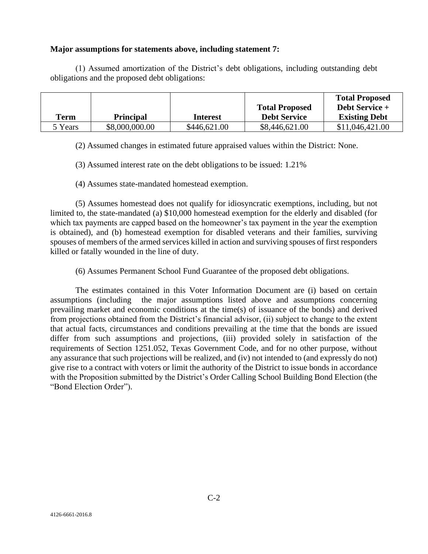#### **Major assumptions for statements above, including statement 7:**

(1) Assumed amortization of the District's debt obligations, including outstanding debt obligations and the proposed debt obligations:

|         |                  |                 |                       | <b>Total Proposed</b> |
|---------|------------------|-----------------|-----------------------|-----------------------|
|         |                  |                 | <b>Total Proposed</b> | <b>Debt Service +</b> |
| Term    | <b>Principal</b> | <b>Interest</b> | <b>Debt Service</b>   | <b>Existing Debt</b>  |
| 5 Years | \$8,000,000.00   | \$446,621.00    | \$8,446,621.00        | \$11,046,421.00       |

(2) Assumed changes in estimated future appraised values within the District: None.

(3) Assumed interest rate on the debt obligations to be issued: 1.21%

(4) Assumes state-mandated homestead exemption.

(5) Assumes homestead does not qualify for idiosyncratic exemptions, including, but not limited to, the state-mandated (a) \$10,000 homestead exemption for the elderly and disabled (for which tax payments are capped based on the homeowner's tax payment in the year the exemption is obtained), and (b) homestead exemption for disabled veterans and their families, surviving spouses of members of the armed services killed in action and surviving spouses of first responders killed or fatally wounded in the line of duty.

(6) Assumes Permanent School Fund Guarantee of the proposed debt obligations.

The estimates contained in this Voter Information Document are (i) based on certain assumptions (including the major assumptions listed above and assumptions concerning prevailing market and economic conditions at the time(s) of issuance of the bonds) and derived from projections obtained from the District's financial advisor, (ii) subject to change to the extent that actual facts, circumstances and conditions prevailing at the time that the bonds are issued differ from such assumptions and projections, (iii) provided solely in satisfaction of the requirements of Section 1251.052, Texas Government Code, and for no other purpose, without any assurance that such projections will be realized, and (iv) not intended to (and expressly do not) give rise to a contract with voters or limit the authority of the District to issue bonds in accordance with the Proposition submitted by the District's Order Calling School Building Bond Election (the "Bond Election Order").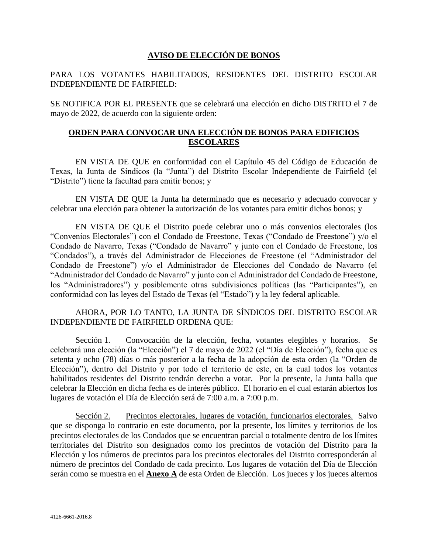#### **AVISO DE ELECCIÓN DE BONOS**

#### PARA LOS VOTANTES HABILITADOS, RESIDENTES DEL DISTRITO ESCOLAR INDEPENDIENTE DE FAIRFIELD:

SE NOTIFICA POR EL PRESENTE que se celebrará una elección en dicho DISTRITO el 7 de mayo de 2022, de acuerdo con la siguiente orden:

#### **ORDEN PARA CONVOCAR UNA ELECCIÓN DE BONOS PARA EDIFICIOS ESCOLARES**

EN VISTA DE QUE en conformidad con el Capítulo 45 del Código de Educación de Texas, la Junta de Síndicos (la "Junta") del Distrito Escolar Independiente de Fairfield (el "Distrito") tiene la facultad para emitir bonos; y

EN VISTA DE QUE la Junta ha determinado que es necesario y adecuado convocar y celebrar una elección para obtener la autorización de los votantes para emitir dichos bonos; y

EN VISTA DE QUE el Distrito puede celebrar uno o más convenios electorales (los "Convenios Electorales") con el Condado de Freestone, Texas ("Condado de Freestone") y/o el Condado de Navarro, Texas ("Condado de Navarro" y junto con el Condado de Freestone, los "Condados"), a través del Administrador de Elecciones de Freestone (el "Administrador del Condado de Freestone") y/o el Administrador de Elecciones del Condado de Navarro (el "Administrador del Condado de Navarro" y junto con el Administrador del Condado de Freestone, los "Administradores") y posiblemente otras subdivisiones políticas (las "Participantes"), en conformidad con las leyes del Estado de Texas (el "Estado") y la ley federal aplicable.

AHORA, POR LO TANTO, LA JUNTA DE SÍNDICOS DEL DISTRITO ESCOLAR INDEPENDIENTE DE FAIRFIELD ORDENA QUE:

Sección 1. Convocación de la elección, fecha, votantes elegibles y horarios. Se celebrará una elección (la "Elección") el 7 de mayo de 2022 (el "Día de Elección"), fecha que es setenta y ocho (78) días o más posterior a la fecha de la adopción de esta orden (la "Orden de Elección"), dentro del Distrito y por todo el territorio de este, en la cual todos los votantes habilitados residentes del Distrito tendrán derecho a votar. Por la presente, la Junta halla que celebrar la Elección en dicha fecha es de interés público. El horario en el cual estarán abiertos los lugares de votación el Día de Elección será de 7:00 a.m. a 7:00 p.m.

Sección 2. Precintos electorales, lugares de votación, funcionarios electorales. Salvo que se disponga lo contrario en este documento, por la presente, los límites y territorios de los precintos electorales de los Condados que se encuentran parcial o totalmente dentro de los límites territoriales del Distrito son designados como los precintos de votación del Distrito para la Elección y los números de precintos para los precintos electorales del Distrito corresponderán al número de precintos del Condado de cada precinto. Los lugares de votación del Día de Elección serán como se muestra en el **Anexo A** de esta Orden de Elección. Los jueces y los jueces alternos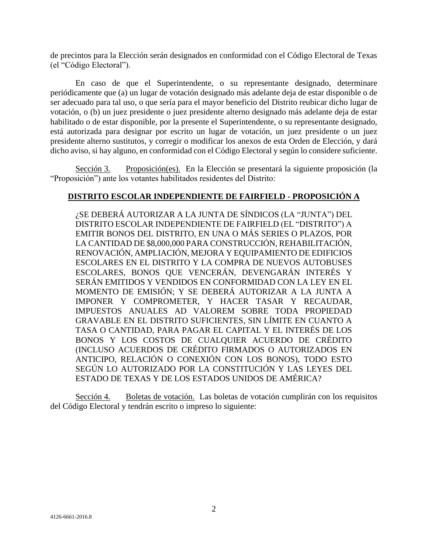de precintos para la Elección serán designados en conformidad con el Código Electoral de Texas (el "Código Electoral").

En caso de que el Superintendente, o su representante designado, determinare periódicamente que (a) un lugar de votación designado más adelante deja de estar disponible o de ser adecuado para tal uso, o que sería para el mayor beneficio del Distrito reubicar dicho lugar de votación, o (b) un juez presidente o juez presidente alterno designado más adelante deja de estar habilitado o de estar disponible, por la presente el Superintendente, o su representante designado, está autorizada para designar por escrito un lugar de votación, un juez presidente o un juez presidente alterno sustitutos, y corregir o modificar los anexos de esta Orden de Elección, y dará dicho aviso, si hay alguno, en conformidad con el Código Electoral y según lo considere suficiente.

Sección 3. Proposición(es). En la Elección se presentará la siguiente proposición (la "Proposición") ante los votantes habilitados residentes del Distrito:

#### **DISTRITO ESCOLAR INDEPENDIENTE DE FAIRFIELD - PROPOSICIÓN A**

¿SE DEBERÁ AUTORIZAR A LA JUNTA DE SÍNDICOS (LA "JUNTA") DEL DISTRITO ESCOLAR INDEPENDIENTE DE FAIRFIELD (EL "DISTRITO") A EMITIR BONOS DEL DISTRITO, EN UNA O MÁS SERIES O PLAZOS, POR LA CANTIDAD DE \$8,000,000 PARA CONSTRUCCIÓN, REHABILITACIÓN, RENOVACIÓN, AMPLIACIÓN, MEJORA Y EQUIPAMIENTO DE EDIFICIOS ESCOLARES EN EL DISTRITO Y LA COMPRA DE NUEVOS AUTOBUSES ESCOLARES, BONOS QUE VENCERÁN, DEVENGARÁN INTERÉS Y SERÁN EMITIDOS Y VENDIDOS EN CONFORMIDAD CON LA LEY EN EL MOMENTO DE EMISIÓN; Y SE DEBERÁ AUTORIZAR A LA JUNTA A IMPONER Y COMPROMETER, Y HACER TASAR Y RECAUDAR, IMPUESTOS ANUALES AD VALOREM SOBRE TODA PROPIEDAD GRAVABLE EN EL DISTRITO SUFICIENTES, SIN LÍMITE EN CUANTO A TASA O CANTIDAD, PARA PAGAR EL CAPITAL Y EL INTERÉS DE LOS BONOS Y LOS COSTOS DE CUALQUIER ACUERDO DE CRÉDITO (INCLUSO ACUERDOS DE CRÉDITO FIRMADOS O AUTORIZADOS EN ANTICIPO, RELACIÓN O CONEXIÓN CON LOS BONOS), TODO ESTO SEGÚN LO AUTORIZADO POR LA CONSTITUCIÓN Y LAS LEYES DEL ESTADO DE TEXAS Y DE LOS ESTADOS UNIDOS DE AMÉRICA?

Sección 4. Boletas de votación. Las boletas de votación cumplirán con los requisitos del Código Electoral y tendrán escrito o impreso lo siguiente: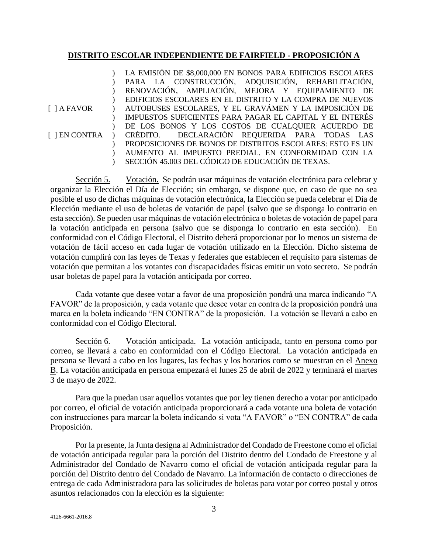#### **DISTRITO ESCOLAR INDEPENDIENTE DE FAIRFIELD - PROPOSICIÓN A**

|                    | LA EMISIÓN DE \$8,000,000 EN BONOS PARA EDIFICIOS ESCOLARES   |
|--------------------|---------------------------------------------------------------|
|                    | PARA LA CONSTRUCCIÓN, ADQUISICIÓN, REHABILITACIÓN,            |
|                    | RENOVACIÓN, AMPLIACIÓN, MEJORA Y EQUIPAMIENTO DE              |
|                    | EDIFICIOS ESCOLARES EN EL DISTRITO Y LA COMPRA DE NUEVOS      |
| $\lceil$ 1 A FAVOR | AUTOBUSES ESCOLARES, Y EL GRAVÁMEN Y LA IMPOSICIÓN DE         |
|                    | IMPUESTOS SUFICIENTES PARA PAGAR EL CAPITAL Y EL INTERÉS      |
|                    | DE LOS BONOS Y LOS COSTOS DE CUALQUIER ACUERDO DE             |
|                    | [ ] EN CONTRA ) CRÉDITO. DECLARACIÓN REQUERIDA PARA TODAS LAS |
|                    | PROPOSICIONES DE BONOS DE DISTRITOS ESCOLARES: ESTO ES UN     |
|                    | AUMENTO AL IMPUESTO PREDIAL. EN CONFORMIDAD CON LA            |
|                    | SECCIÓN 45.003 DEL CÓDIGO DE EDUCACIÓN DE TEXAS.              |
|                    |                                                               |

Sección 5. Votación. Se podrán usar máquinas de votación electrónica para celebrar y organizar la Elección el Día de Elección; sin embargo, se dispone que, en caso de que no sea posible el uso de dichas máquinas de votación electrónica, la Elección se pueda celebrar el Día de Elección mediante el uso de boletas de votación de papel (salvo que se disponga lo contrario en esta sección). Se pueden usar máquinas de votación electrónica o boletas de votación de papel para la votación anticipada en persona (salvo que se disponga lo contrario en esta sección). En conformidad con el Código Electoral, el Distrito deberá proporcionar por lo menos un sistema de votación de fácil acceso en cada lugar de votación utilizado en la Elección. Dicho sistema de votación cumplirá con las leyes de Texas y federales que establecen el requisito para sistemas de votación que permitan a los votantes con discapacidades físicas emitir un voto secreto. Se podrán usar boletas de papel para la votación anticipada por correo.

Cada votante que desee votar a favor de una proposición pondrá una marca indicando "A FAVOR" de la proposición, y cada votante que desee votar en contra de la proposición pondrá una marca en la boleta indicando "EN CONTRA" de la proposición. La votación se llevará a cabo en conformidad con el Código Electoral.

Sección 6. Votación anticipada. La votación anticipada, tanto en persona como por correo, se llevará a cabo en conformidad con el Código Electoral. La votación anticipada en persona se llevará a cabo en los lugares, las fechas y los horarios como se muestran en el Anexo B. La votación anticipada en persona empezará el lunes 25 de abril de 2022 y terminará el martes 3 de mayo de 2022.

Para que la puedan usar aquellos votantes que por ley tienen derecho a votar por anticipado por correo, el oficial de votación anticipada proporcionará a cada votante una boleta de votación con instrucciones para marcar la boleta indicando si vota "A FAVOR" o "EN CONTRA" de cada Proposición.

Por la presente, la Junta designa al Administrador del Condado de Freestone como el oficial de votación anticipada regular para la porción del Distrito dentro del Condado de Freestone y al Administrador del Condado de Navarro como el oficial de votación anticipada regular para la porción del Distrito dentro del Condado de Navarro. La información de contacto o direcciones de entrega de cada Administradora para las solicitudes de boletas para votar por correo postal y otros asuntos relacionados con la elección es la siguiente: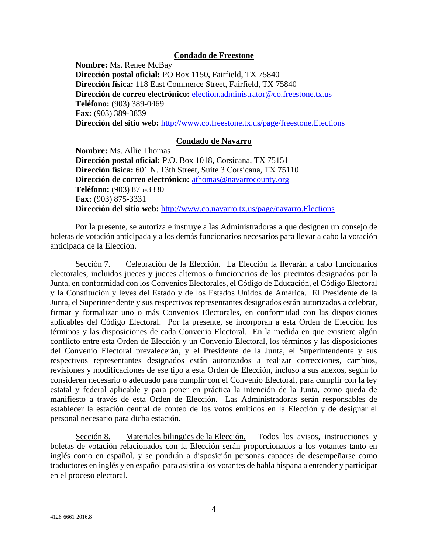#### **Condado de Freestone**

**Nombre:** Ms. Renee McBay **Dirección postal oficial:** PO Box 1150, Fairfield, TX 75840 **Dirección física:** 118 East Commerce Street, Fairfield, TX 75840 **Dirección de correo electrónico:** [election.administrator@co.freestone.tx.us](mailto:election.administrator@co.freestone.tx.us)  **Teléfono:** (903) 389-0469 **Fax:** (903) 389-3839 **Dirección del sitio web:** <http://www.co.freestone.tx.us/page/freestone.Elections>

#### **Condado de Navarro**

**Nombre:** Ms. Allie Thomas **Dirección postal oficial:** P.O. Box 1018, Corsicana, TX 75151 **Dirección física:** 601 N. 13th Street, Suite 3 Corsicana, TX 75110 **Dirección de correo electrónico:** [athomas@navarrocounty.org](mailto:dteed@navarrocounty.org) **Teléfono:** (903) 875-3330 **Fax:** (903) 875-3331 **Dirección del sitio web:** <http://www.co.navarro.tx.us/page/navarro.Elections>

Por la presente, se autoriza e instruye a las Administradoras a que designen un consejo de boletas de votación anticipada y a los demás funcionarios necesarios para llevar a cabo la votación anticipada de la Elección.

Sección 7. Celebración de la Elección. La Elección la llevarán a cabo funcionarios electorales, incluidos jueces y jueces alternos o funcionarios de los precintos designados por la Junta, en conformidad con los Convenios Electorales, el Código de Educación, el Código Electoral y la Constitución y leyes del Estado y de los Estados Unidos de América. El Presidente de la Junta, el Superintendente y sus respectivos representantes designados están autorizados a celebrar, firmar y formalizar uno o más Convenios Electorales, en conformidad con las disposiciones aplicables del Código Electoral. Por la presente, se incorporan a esta Orden de Elección los términos y las disposiciones de cada Convenio Electoral. En la medida en que existiere algún conflicto entre esta Orden de Elección y un Convenio Electoral, los términos y las disposiciones del Convenio Electoral prevalecerán, y el Presidente de la Junta, el Superintendente y sus respectivos representantes designados están autorizados a realizar correcciones, cambios, revisiones y modificaciones de ese tipo a esta Orden de Elección, incluso a sus anexos, según lo consideren necesario o adecuado para cumplir con el Convenio Electoral, para cumplir con la ley estatal y federal aplicable y para poner en práctica la intención de la Junta, como queda de manifiesto a través de esta Orden de Elección. Las Administradoras serán responsables de establecer la estación central de conteo de los votos emitidos en la Elección y de designar el personal necesario para dicha estación.

Sección 8. Materiales bilingües de la Elección. Todos los avisos, instrucciones y boletas de votación relacionados con la Elección serán proporcionados a los votantes tanto en inglés como en español, y se pondrán a disposición personas capaces de desempeñarse como traductores en inglés y en español para asistir a los votantes de habla hispana a entender y participar en el proceso electoral.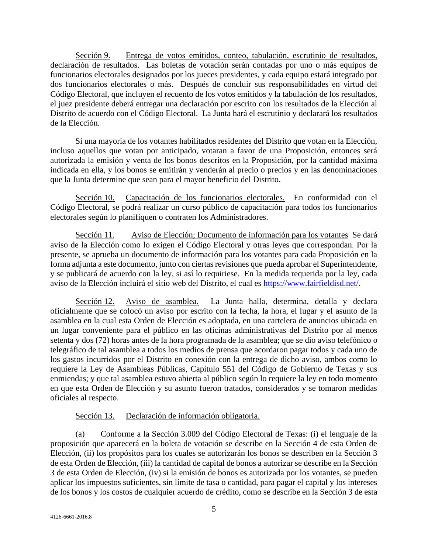Sección 9. Entrega de votos emitidos, conteo, tabulación, escrutinio de resultados, declaración de resultados. Las boletas de votación serán contadas por uno o más equipos de funcionarios electorales designados por los jueces presidentes, y cada equipo estará integrado por dos funcionarios electorales o más. Después de concluir sus responsabilidades en virtud del Código Electoral, que incluyen el recuento de los votos emitidos y la tabulación de los resultados, el juez presidente deberá entregar una declaración por escrito con los resultados de la Elección al Distrito de acuerdo con el Código Electoral. La Junta hará el escrutinio y declarará los resultados de la Elección.

Si una mayoría de los votantes habilitados residentes del Distrito que votan en la Elección, incluso aquellos que votan por anticipado, votaran a favor de una Proposición, entonces será autorizada la emisión y venta de los bonos descritos en la Proposición, por la cantidad máxima indicada en ella, y los bonos se emitirán y venderán al precio o precios y en las denominaciones que la Junta determine que sean para el mayor beneficio del Distrito.

Sección 10. Capacitación de los funcionarios electorales. En conformidad con el Código Electoral, se podrá realizar un curso público de capacitación para todos los funcionarios electorales según lo planifiquen o contraten los Administradores.

Sección 11. Aviso de Elección; Documento de información para los votantes Se dará aviso de la Elección como lo exigen el Código Electoral y otras leyes que correspondan. Por la presente, se aprueba un documento de información para los votantes para cada Proposición en la forma adjunta a este documento, junto con ciertas revisiones que pueda aprobar el Superintendente, y se publicará de acuerdo con la ley, si así lo requiriese. En la medida requerida por la ley, cada aviso de la Elección incluirá el sitio web del Distrito, el cual es [https://www.fairfieldisd.net/.](https://www.fairfieldisd.net/)

Sección 12. Aviso de asamblea. La Junta halla, determina, detalla y declara oficialmente que se colocó un aviso por escrito con la fecha, la hora, el lugar y el asunto de la asamblea en la cual esta Orden de Elección es adoptada, en una cartelera de anuncios ubicada en un lugar conveniente para el público en las oficinas administrativas del Distrito por al menos setenta y dos (72) horas antes de la hora programada de la asamblea; que se dio aviso telefónico o telegráfico de tal asamblea a todos los medios de prensa que acordaron pagar todos y cada uno de los gastos incurridos por el Distrito en conexión con la entrega de dicho aviso, ambos como lo requiere la Ley de Asambleas Públicas, Capítulo 551 del Código de Gobierno de Texas y sus enmiendas; y que tal asamblea estuvo abierta al público según lo requiere la ley en todo momento en que esta Orden de Elección y su asunto fueron tratados, considerados y se tomaron medidas oficiales al respecto.

#### Sección 13. Declaración de información obligatoria.

(a) Conforme a la Sección 3.009 del Código Electoral de Texas: (i) el lenguaje de la proposición que aparecerá en la boleta de votación se describe en la Sección 4 de esta Orden de Elección, (ii) los propósitos para los cuales se autorizarán los bonos se describen en la Sección 3 de esta Orden de Elección, (iii) la cantidad de capital de bonos a autorizar se describe en la Sección 3 de esta Orden de Elección, (iv) si la emisión de bonos es autorizada por los votantes, se pueden aplicar los impuestos suficientes, sin límite de tasa o cantidad, para pagar el capital y los intereses de los bonos y los costos de cualquier acuerdo de crédito, como se describe en la Sección 3 de esta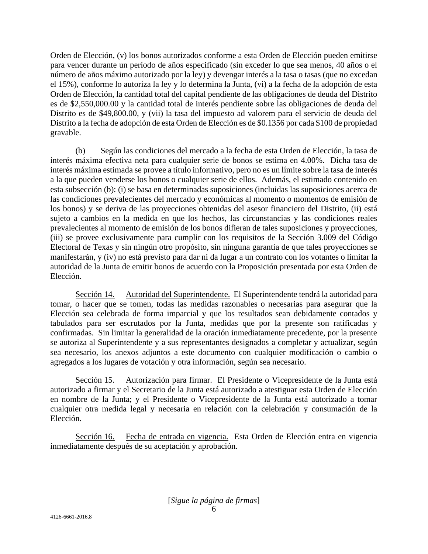Orden de Elección, (v) los bonos autorizados conforme a esta Orden de Elección pueden emitirse para vencer durante un período de años especificado (sin exceder lo que sea menos, 40 años o el número de años máximo autorizado por la ley) y devengar interés a la tasa o tasas (que no excedan el 15%), conforme lo autoriza la ley y lo determina la Junta, (vi) a la fecha de la adopción de esta Orden de Elección, la cantidad total del capital pendiente de las obligaciones de deuda del Distrito es de \$2,550,000.00 y la cantidad total de interés pendiente sobre las obligaciones de deuda del Distrito es de \$49,800.00, y (vii) la tasa del impuesto ad valorem para el servicio de deuda del Distrito a la fecha de adopción de esta Orden de Elección es de \$0.1356 por cada \$100 de propiedad gravable.

(b) Según las condiciones del mercado a la fecha de esta Orden de Elección, la tasa de interés máxima efectiva neta para cualquier serie de bonos se estima en 4.00%. Dicha tasa de interés máxima estimada se provee a título informativo, pero no es un límite sobre la tasa de interés a la que pueden venderse los bonos o cualquier serie de ellos. Además, el estimado contenido en esta subsección (b): (i) se basa en determinadas suposiciones (incluidas las suposiciones acerca de las condiciones prevalecientes del mercado y económicas al momento o momentos de emisión de los bonos) y se deriva de las proyecciones obtenidas del asesor financiero del Distrito, (ii) está sujeto a cambios en la medida en que los hechos, las circunstancias y las condiciones reales prevalecientes al momento de emisión de los bonos difieran de tales suposiciones y proyecciones, (iii) se provee exclusivamente para cumplir con los requisitos de la Sección 3.009 del Código Electoral de Texas y sin ningún otro propósito, sin ninguna garantía de que tales proyecciones se manifestarán, y (iv) no está previsto para dar ni da lugar a un contrato con los votantes o limitar la autoridad de la Junta de emitir bonos de acuerdo con la Proposición presentada por esta Orden de Elección.

Sección 14. Autoridad del Superintendente. El Superintendente tendrá la autoridad para tomar, o hacer que se tomen, todas las medidas razonables o necesarias para asegurar que la Elección sea celebrada de forma imparcial y que los resultados sean debidamente contados y tabulados para ser escrutados por la Junta, medidas que por la presente son ratificadas y confirmadas. Sin limitar la generalidad de la oración inmediatamente precedente, por la presente se autoriza al Superintendente y a sus representantes designados a completar y actualizar, según sea necesario, los anexos adjuntos a este documento con cualquier modificación o cambio o agregados a los lugares de votación y otra información, según sea necesario.

Sección 15. Autorización para firmar. El Presidente o Vicepresidente de la Junta está autorizado a firmar y el Secretario de la Junta está autorizado a atestiguar esta Orden de Elección en nombre de la Junta; y el Presidente o Vicepresidente de la Junta está autorizado a tomar cualquier otra medida legal y necesaria en relación con la celebración y consumación de la Elección.

Sección 16. Fecha de entrada en vigencia. Esta Orden de Elección entra en vigencia inmediatamente después de su aceptación y aprobación.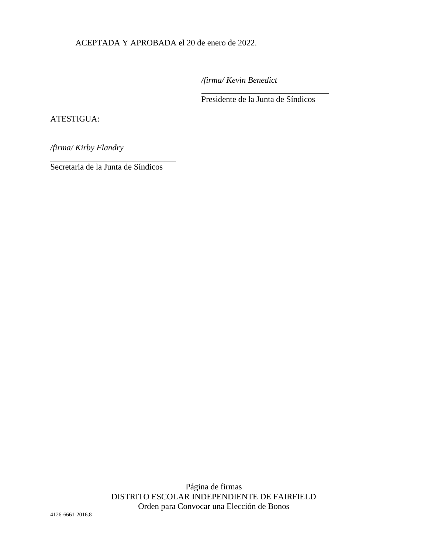ACEPTADA Y APROBADA el 20 de enero de 2022.

*/firma/ Kevin Benedict* 

 $\overline{a}$ 

Presidente de la Junta de Síndicos

#### ATESTIGUA:

l

*/firma/ Kirby Flandry*

Secretaria de la Junta de Síndicos

Página de firmas DISTRITO ESCOLAR INDEPENDIENTE DE FAIRFIELD Orden para Convocar una Elección de Bonos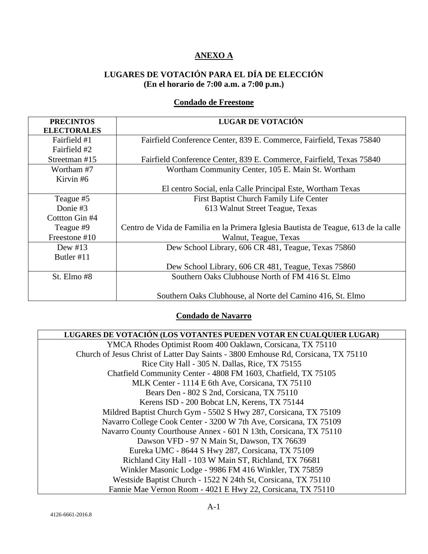## **ANEXO A**

## **LUGARES DE VOTACIÓN PARA EL DÍA DE ELECCIÓN (En el horario de 7:00 a.m. a 7:00 p.m.)**

## **Condado de Freestone**

| <b>PRECINTOS</b><br><b>ELECTORALES</b> | <b>LUGAR DE VOTACIÓN</b>                                                            |  |
|----------------------------------------|-------------------------------------------------------------------------------------|--|
| Fairfield #1<br>Fairfield #2           | Fairfield Conference Center, 839 E. Commerce, Fairfield, Texas 75840                |  |
| Streetman #15                          | Fairfield Conference Center, 839 E. Commerce, Fairfield, Texas 75840                |  |
| Wortham #7<br>Kirvin #6                | Wortham Community Center, 105 E. Main St. Wortham                                   |  |
|                                        | El centro Social, enla Calle Principal Este, Wortham Texas                          |  |
| Teague #5                              | First Baptist Church Family Life Center                                             |  |
| Donie #3                               | 613 Walnut Street Teague, Texas                                                     |  |
| Cottton Gin #4                         |                                                                                     |  |
| Teague #9                              | Centro de Vida de Familia en la Primera Iglesia Bautista de Teague, 613 de la calle |  |
| Freestone #10                          | Walnut, Teague, Texas                                                               |  |
| Dew $\#13$                             | Dew School Library, 606 CR 481, Teague, Texas 75860                                 |  |
| Butler #11                             |                                                                                     |  |
|                                        | Dew School Library, 606 CR 481, Teague, Texas 75860                                 |  |
| St. Elmo #8                            | Southern Oaks Clubhouse North of FM 416 St. Elmo                                    |  |
|                                        | Southern Oaks Clubhouse, al Norte del Camino 416, St. Elmo                          |  |

## **Condado de Navarro**

| LUGARES DE VOTACIÓN (LOS VOTANTES PUEDEN VOTAR EN CUALQUIER LUGAR)                 |
|------------------------------------------------------------------------------------|
| YMCA Rhodes Optimist Room 400 Oaklawn, Corsicana, TX 75110                         |
| Church of Jesus Christ of Latter Day Saints - 3800 Emhouse Rd, Corsicana, TX 75110 |
| Rice City Hall - 305 N. Dallas, Rice, TX 75155                                     |
| Chatfield Community Center - 4808 FM 1603, Chatfield, TX 75105                     |
| MLK Center - 1114 E 6th Ave, Corsicana, TX 75110                                   |
| Bears Den - 802 S 2nd, Corsicana, TX 75110                                         |
| Kerens ISD - 200 Bobcat LN, Kerens, TX 75144                                       |
| Mildred Baptist Church Gym - 5502 S Hwy 287, Corsicana, TX 75109                   |
| Navarro College Cook Center - 3200 W 7th Ave, Corsicana, TX 75109                  |
| Navarro County Courthouse Annex - 601 N 13th, Corsicana, TX 75110                  |
| Dawson VFD - 97 N Main St, Dawson, TX 76639                                        |
| Eureka UMC - 8644 S Hwy 287, Corsicana, TX 75109                                   |
| Richland City Hall - 103 W Main ST, Richland, TX 76681                             |
| Winkler Masonic Lodge - 9986 FM 416 Winkler, TX 75859                              |
| Westside Baptist Church - 1522 N 24th St, Corsicana, TX 75110                      |
| Fannie Mae Vernon Room - 4021 E Hwy 22, Corsicana, TX 75110                        |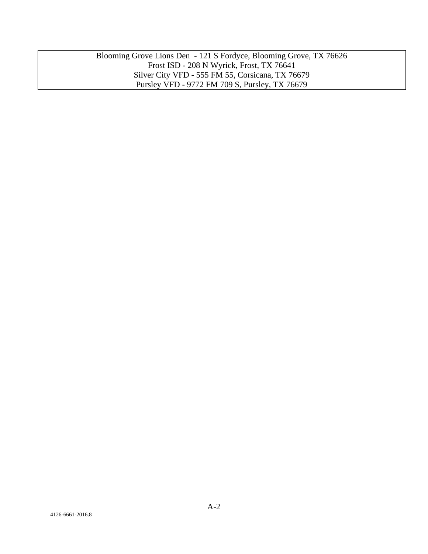Blooming Grove Lions Den - 121 S Fordyce, Blooming Grove, TX 76626 Frost ISD - 208 N Wyrick, Frost, TX 76641 Silver City VFD - 555 FM 55, Corsicana, TX 76679 Pursley VFD - 9772 FM 709 S, Pursley, TX 76679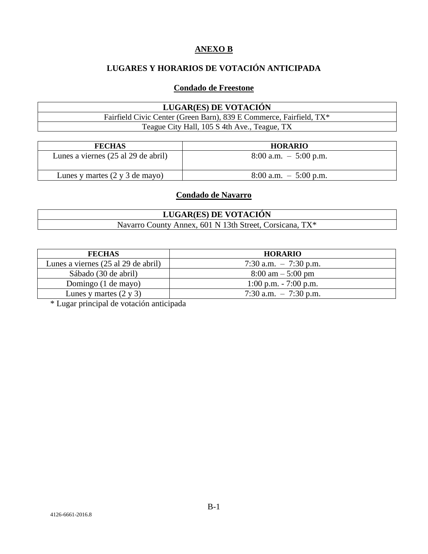### **ANEXO B**

# **LUGARES Y HORARIOS DE VOTACIÓN ANTICIPADA**

### **Condado de Freestone**

### **LUGAR(ES) DE VOTACIÓN** Fairfield Civic Center (Green Barn), 839 E Commerce, Fairfield, TX\* Teague City Hall, 105 S 4th Ave., Teague, TX

| <b>FECHAS</b>                                    | <b>HORARIO</b>           |
|--------------------------------------------------|--------------------------|
| Lunes a viernes (25 al 29 de abril)              | $8:00$ a.m. $-5:00$ p.m. |
| Lunes y martes $(2 \text{ y } 3 \text{ de may})$ | $8:00$ a.m. $-5:00$ p.m. |

### **Condado de Navarro**

### **LUGAR(ES) DE VOTACIÓN** Navarro County Annex, 601 N 13th Street, Corsicana, TX\*

| <b>FECHAS</b>                       | <b>HORARIO</b>                      |
|-------------------------------------|-------------------------------------|
| Lunes a viernes (25 al 29 de abril) | 7:30 a.m. $-7:30$ p.m.              |
| Sábado (30 de abril)                | $8:00 \text{ am} - 5:00 \text{ pm}$ |
| Domingo (1 de mayo)                 | $1:00$ p.m. $-7:00$ p.m.            |
| Lunes y martes $(2 \times 3)$       | 7:30 a.m. $-7:30$ p.m.              |

\* Lugar principal de votación anticipada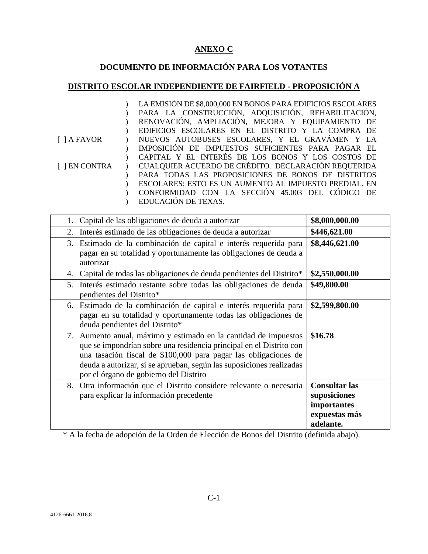## **ANEXO C**

# **DOCUMENTO DE INFORMACIÓN PARA LOS VOTANTES**

# **DISTRITO ESCOLAR INDEPENDIENTE DE FAIRFIELD - PROPOSICIÓN A**

|                    | LA EMISIÓN DE \$8,000,000 EN BONOS PARA EDIFICIOS ESCOLARES |
|--------------------|-------------------------------------------------------------|
|                    | PARA LA CONSTRUCCIÓN, ADQUISICIÓN, REHABILITACIÓN,          |
|                    | RENOVACIÓN, AMPLIACIÓN, MEJORA Y EQUIPAMIENTO DE            |
|                    | EDIFICIOS ESCOLARES EN EL DISTRITO Y LA COMPRA DE           |
| $\lceil$   A FAVOR | NUEVOS AUTOBUSES ESCOLARES, Y EL GRAVÁMEN Y LA              |
|                    | IMPOSICIÓN DE IMPUESTOS SUFICIENTES PARA PAGAR EL           |
|                    | CAPITAL Y EL INTERÉS DE LOS BONOS Y LOS COSTOS DE           |
| [ ] EN CONTRA      | CUALQUIER ACUERDO DE CRÉDITO. DECLARACIÓN REQUERIDA         |
|                    | PARA TODAS LAS PROPOSICIONES DE BONOS DE DISTRITOS          |
|                    | ESCOLARES: ESTO ES UN AUMENTO AL IMPUESTO PREDIAL. EN       |
|                    | CONFORMIDAD CON LA SECCIÓN 45.003 DEL CÓDIGO DE             |
|                    | EDUCACIÓN DE TEXAS.                                         |

| Capital de las obligaciones de deuda a autorizar<br>1.                                                                                                                                                                                                                                                                      | \$8,000,000.00                                                                    |
|-----------------------------------------------------------------------------------------------------------------------------------------------------------------------------------------------------------------------------------------------------------------------------------------------------------------------------|-----------------------------------------------------------------------------------|
| Interés estimado de las obligaciones de deuda a autorizar<br>2.                                                                                                                                                                                                                                                             | \$446,621.00                                                                      |
| Estimado de la combinación de capital e interés requerida para<br>3.<br>pagar en su totalidad y oportunamente las obligaciones de deuda a<br>autorizar                                                                                                                                                                      | \$8,446,621.00                                                                    |
| Capital de todas las obligaciones de deuda pendientes del Distrito*<br>4.                                                                                                                                                                                                                                                   | \$2,550,000.00                                                                    |
| Interés estimado restante sobre todas las obligaciones de deuda<br>5.<br>pendientes del Distrito*                                                                                                                                                                                                                           | \$49,800.00                                                                       |
| Estimado de la combinación de capital e interés requerida para<br>6.<br>pagar en su totalidad y oportunamente todas las obligaciones de<br>deuda pendientes del Distrito*                                                                                                                                                   | \$2,599,800.00                                                                    |
| 7. Aumento anual, máximo y estimado en la cantidad de impuestos<br>que se impondrían sobre una residencia principal en el Distrito con<br>una tasación fiscal de \$100,000 para pagar las obligaciones de<br>deuda a autorizar, si se aprueban, según las suposiciones realizadas<br>por el órgano de gobierno del Distrito | \$16.78                                                                           |
| Otra información que el Distrito considere relevante o necesaria<br>8.<br>para explicar la información precedente                                                                                                                                                                                                           | <b>Consultar las</b><br>suposiciones<br>importantes<br>expuestas más<br>adelante. |

\* A la fecha de adopción de la Orden de Elección de Bonos del Distrito (definida abajo).